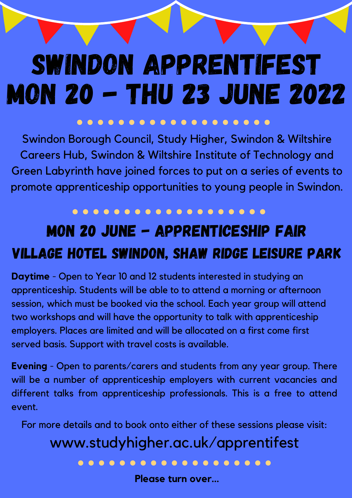# Swindon ApprentiFest mon 20 - Thu 23 June 2022

### . . . . . . . . . . . . . . . .

## Mon 20 June - Apprenticeship Fair Village Hotel Swindon, Shaw Ridge Leisure Park

**Daytime** - Open to Year 10 and 12 students interested in studying an apprenticeship. Students will be able to to attend a morning or afternoon session, which must be booked via the school. Each year group will attend two workshops and will have the opportunity to talk with apprenticeship employers. Places are limited and will be allocated on a first come first served basis. Support with travel costs is available.

For more details and to book onto either of these sessions please visit: www.studyhigher.ac.uk/apprentifest . . . . . . . . . . . . . . . . . .

**Evening** - Open to parents/carers and students from any year group. There will be a number of apprenticeship employers with current vacancies and different talks from apprenticeship professionals. This is a free to attend event.

Swindon Borough Council, Study Higher, Swindon & Wiltshire Careers Hub, Swindon & Wiltshire Institute of Technology and Green Labyrinth have joined forces to put on a series of events to promote apprenticeship opportunities to young people in Swindon.

**Please turn over...**